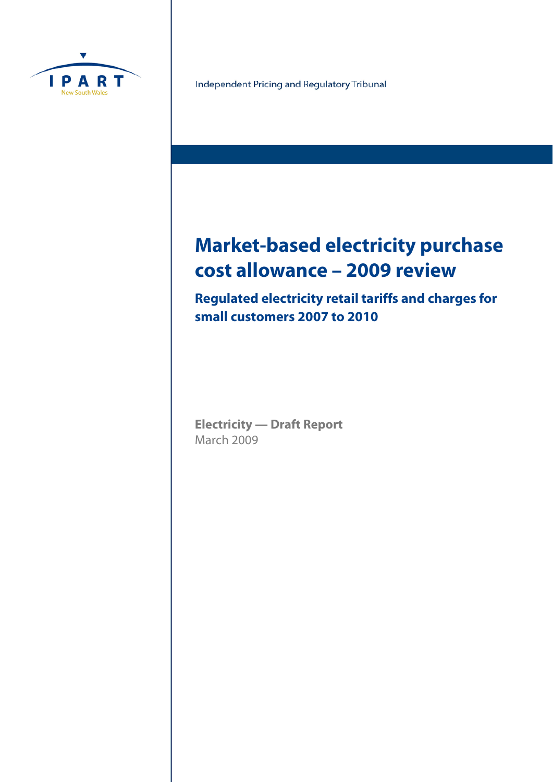

Independent Pricing and Regulatory Tribunal

# **Market-based electricity purchase cost allowance – 2009 review**

**Regulated electricity retail tariffs and charges for small customers 2007 to 2010**

**Electricity — Draft Report**  March 2009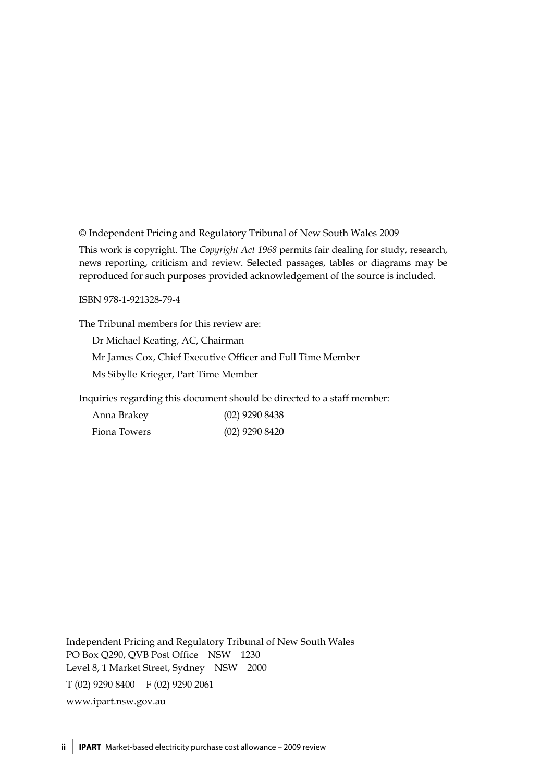© Independent Pricing and Regulatory Tribunal of New South Wales 2009

This work is copyright. The *Copyright Act 1968* permits fair dealing for study, research, news reporting, criticism and review. Selected passages, tables or diagrams may be reproduced for such purposes provided acknowledgement of the source is included.

ISBN 978-1-921328-79-4

The Tribunal members for this review are:

Dr Michael Keating, AC, Chairman

Mr James Cox, Chief Executive Officer and Full Time Member

Ms Sibylle Krieger, Part Time Member

Inquiries regarding this document should be directed to a staff member:

| Anna Brakey  | $(02)$ 9290 8438 |
|--------------|------------------|
| Fiona Towers | $(02)$ 9290 8420 |

Independent Pricing and Regulatory Tribunal of New South Wales PO Box Q290, QVB Post Office NSW 1230 Level 8, 1 Market Street, Sydney NSW 2000 T (02) 9290 8400 F (02) 9290 2061 www.ipart.nsw.gov.au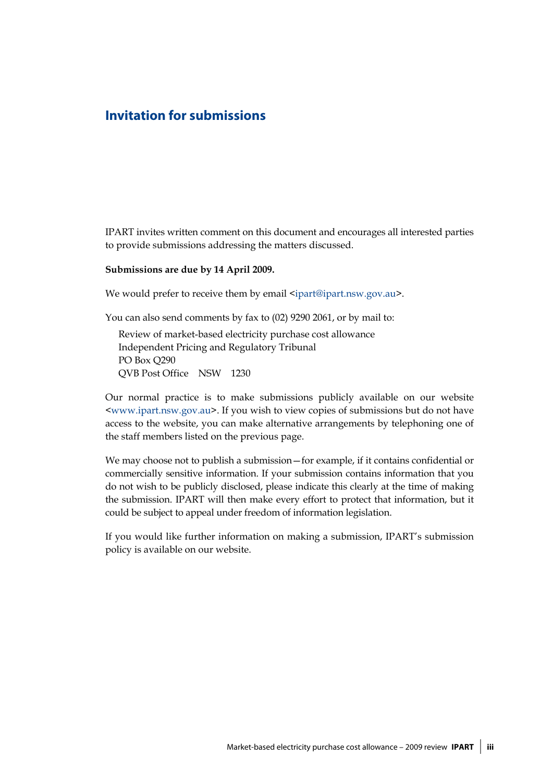### **Invitation for submissions**

IPART invites written comment on this document and encourages all interested parties to provide submissions addressing the matters discussed.

#### **Submissions are due by 14 April 2009.**

We would prefer to receive them by email <ipart@ipart.nsw.gov.au>.

You can also send comments by fax to (02) 9290 2061, or by mail to:

Review of market-based electricity purchase cost allowance Independent Pricing and Regulatory Tribunal PO Box Q290 QVB Post Office NSW 1230

Our normal practice is to make submissions publicly available on our website <www.ipart.nsw.gov.au>. If you wish to view copies of submissions but do not have access to the website, you can make alternative arrangements by telephoning one of the staff members listed on the previous page.

We may choose not to publish a submission—for example, if it contains confidential or commercially sensitive information. If your submission contains information that you do not wish to be publicly disclosed, please indicate this clearly at the time of making the submission. IPART will then make every effort to protect that information, but it could be subject to appeal under freedom of information legislation.

If you would like further information on making a submission, IPART's submission policy is available on our website.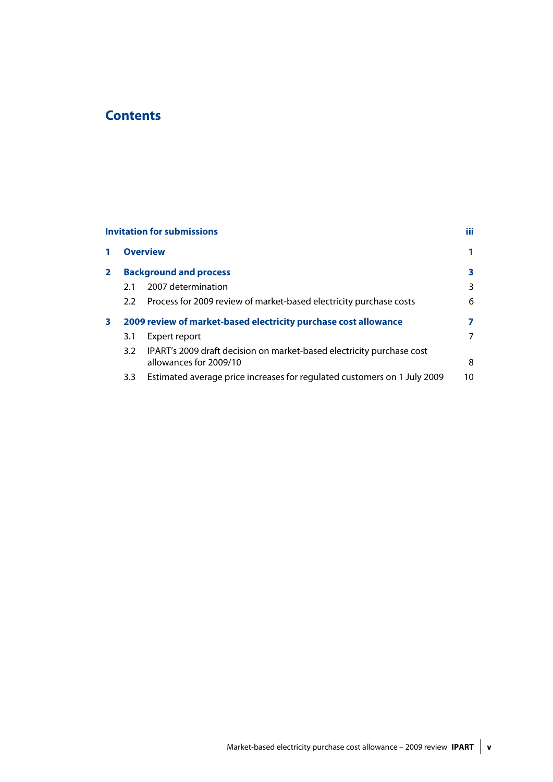# **Contents**

|              |               | <b>Invitation for submissions</b>                                                               | iii |
|--------------|---------------|-------------------------------------------------------------------------------------------------|-----|
| 1            |               | <b>Overview</b>                                                                                 | 1   |
| $\mathbf{2}$ |               | <b>Background and process</b>                                                                   | 3   |
|              | 2.1           | 2007 determination                                                                              | 3   |
|              | $2.2^{\circ}$ | Process for 2009 review of market-based electricity purchase costs                              | 6   |
| 3            |               | 2009 review of market-based electricity purchase cost allowance                                 | 7   |
|              | 3.1           | Expert report                                                                                   | 7   |
|              | 3.2           | IPART's 2009 draft decision on market-based electricity purchase cost<br>allowances for 2009/10 | 8   |
|              | 3.3           | Estimated average price increases for regulated customers on 1 July 2009                        | 10  |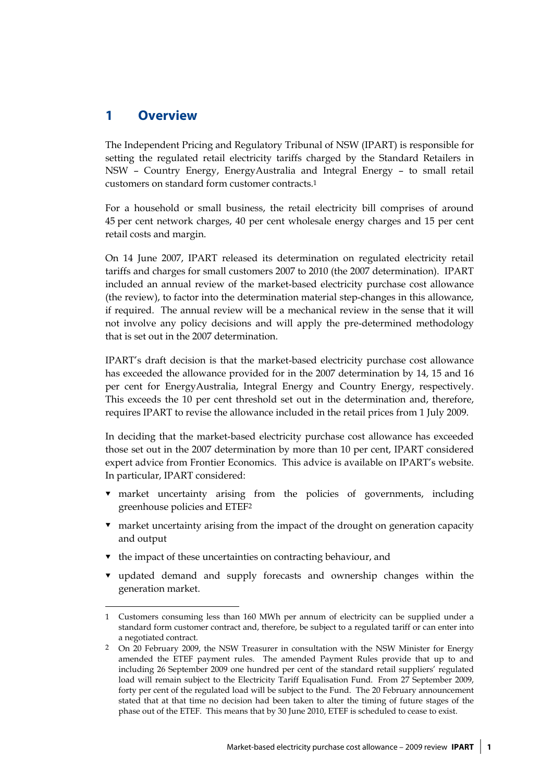## **1 Overview**

 $\overline{a}$ 

The Independent Pricing and Regulatory Tribunal of NSW (IPART) is responsible for setting the regulated retail electricity tariffs charged by the Standard Retailers in NSW – Country Energy, EnergyAustralia and Integral Energy – to small retail customers on standard form customer contracts.1

For a household or small business, the retail electricity bill comprises of around 45 per cent network charges, 40 per cent wholesale energy charges and 15 per cent retail costs and margin.

On 14 June 2007, IPART released its determination on regulated electricity retail tariffs and charges for small customers 2007 to 2010 (the 2007 determination). IPART included an annual review of the market-based electricity purchase cost allowance (the review), to factor into the determination material step-changes in this allowance, if required. The annual review will be a mechanical review in the sense that it will not involve any policy decisions and will apply the pre-determined methodology that is set out in the 2007 determination.

IPART's draft decision is that the market-based electricity purchase cost allowance has exceeded the allowance provided for in the 2007 determination by 14, 15 and 16 per cent for EnergyAustralia, Integral Energy and Country Energy, respectively. This exceeds the 10 per cent threshold set out in the determination and, therefore, requires IPART to revise the allowance included in the retail prices from 1 July 2009.

In deciding that the market-based electricity purchase cost allowance has exceeded those set out in the 2007 determination by more than 10 per cent, IPART considered expert advice from Frontier Economics. This advice is available on IPART's website. In particular, IPART considered:

- market uncertainty arising from the policies of governments, including greenhouse policies and ETEF2
- market uncertainty arising from the impact of the drought on generation capacity and output
- $\bullet$  the impact of these uncertainties on contracting behaviour, and
- updated demand and supply forecasts and ownership changes within the generation market.

<sup>1</sup> Customers consuming less than 160 MWh per annum of electricity can be supplied under a standard form customer contract and, therefore, be subject to a regulated tariff or can enter into a negotiated contract.

<sup>2</sup> On 20 February 2009, the NSW Treasurer in consultation with the NSW Minister for Energy amended the ETEF payment rules. The amended Payment Rules provide that up to and including 26 September 2009 one hundred per cent of the standard retail suppliers' regulated load will remain subject to the Electricity Tariff Equalisation Fund. From 27 September 2009, forty per cent of the regulated load will be subject to the Fund. The 20 February announcement stated that at that time no decision had been taken to alter the timing of future stages of the phase out of the ETEF. This means that by 30 June 2010, ETEF is scheduled to cease to exist.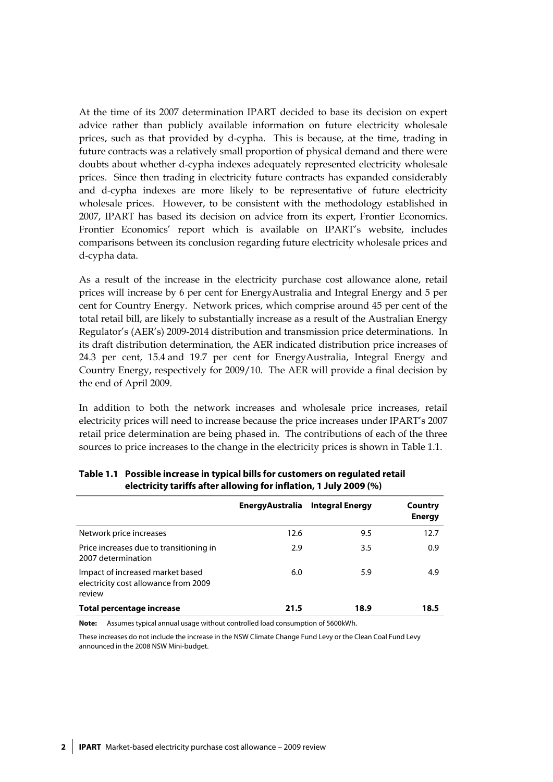At the time of its 2007 determination IPART decided to base its decision on expert advice rather than publicly available information on future electricity wholesale prices, such as that provided by d-cypha. This is because, at the time, trading in future contracts was a relatively small proportion of physical demand and there were doubts about whether d-cypha indexes adequately represented electricity wholesale prices. Since then trading in electricity future contracts has expanded considerably and d-cypha indexes are more likely to be representative of future electricity wholesale prices. However, to be consistent with the methodology established in 2007, IPART has based its decision on advice from its expert, Frontier Economics. Frontier Economics' report which is available on IPART's website, includes comparisons between its conclusion regarding future electricity wholesale prices and d-cypha data.

As a result of the increase in the electricity purchase cost allowance alone, retail prices will increase by 6 per cent for EnergyAustralia and Integral Energy and 5 per cent for Country Energy. Network prices, which comprise around 45 per cent of the total retail bill, are likely to substantially increase as a result of the Australian Energy Regulator's (AER's) 2009-2014 distribution and transmission price determinations. In its draft distribution determination, the AER indicated distribution price increases of 24.3 per cent, 15.4 and 19.7 per cent for EnergyAustralia, Integral Energy and Country Energy, respectively for 2009/10. The AER will provide a final decision by the end of April 2009.

In addition to both the network increases and wholesale price increases, retail electricity prices will need to increase because the price increases under IPART's 2007 retail price determination are being phased in. The contributions of each of the three sources to price increases to the change in the electricity prices is shown in Table 1.1.

|                                                                                    | <b>EnergyAustralia</b> | <b>Integral Energy</b> | Country<br><b>Energy</b> |
|------------------------------------------------------------------------------------|------------------------|------------------------|--------------------------|
| Network price increases                                                            | 12.6                   | 9.5                    | 12.7                     |
| Price increases due to transitioning in<br>2007 determination                      | 2.9                    | 3.5                    | 0.9                      |
| Impact of increased market based<br>electricity cost allowance from 2009<br>review | 6.0                    | 5.9                    | 4.9                      |
| Total percentage increase                                                          | 21.5                   | 18.9                   | 18.5                     |

**Table 1.1 Possible increase in typical bills for customers on regulated retail electricity tariffs after allowing for inflation, 1 July 2009 (%)** 

**Note:** Assumes typical annual usage without controlled load consumption of 5600kWh.

These increases do not include the increase in the NSW Climate Change Fund Levy or the Clean Coal Fund Levy announced in the 2008 NSW Mini-budget.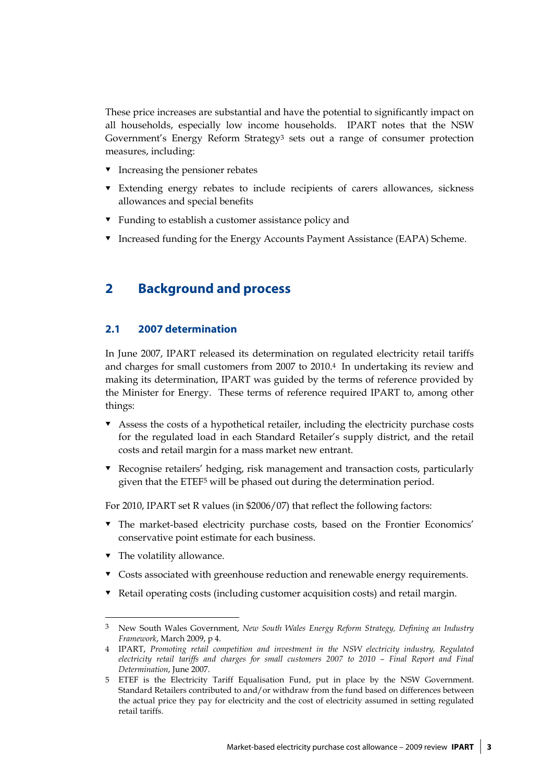These price increases are substantial and have the potential to significantly impact on all households, especially low income households. IPART notes that the NSW Government's Energy Reform Strategy3 sets out a range of consumer protection measures, including:

- $\bullet$  Increasing the pensioner rebates
- Extending energy rebates to include recipients of carers allowances, sickness allowances and special benefits
- ▼ Funding to establish a customer assistance policy and
- **v** Increased funding for the Energy Accounts Payment Assistance (EAPA) Scheme.

# **2 Background and process**

### **2.1 2007 determination**

In June 2007, IPART released its determination on regulated electricity retail tariffs and charges for small customers from 2007 to 2010.4 In undertaking its review and making its determination, IPART was guided by the terms of reference provided by the Minister for Energy. These terms of reference required IPART to, among other things:

- Assess the costs of a hypothetical retailer, including the electricity purchase costs for the regulated load in each Standard Retailer's supply district, and the retail costs and retail margin for a mass market new entrant.
- Recognise retailers' hedging, risk management and transaction costs, particularly given that the ETEF5 will be phased out during the determination period.

For 2010, IPART set R values (in \$2006/07) that reflect the following factors:

- The market-based electricity purchase costs, based on the Frontier Economics' conservative point estimate for each business.
- The volatility allowance.

 $\overline{a}$ 

- $\bullet$  Costs associated with greenhouse reduction and renewable energy requirements.
- Retail operating costs (including customer acquisition costs) and retail margin.

<sup>3</sup> New South Wales Government, *New South Wales Energy Reform Strategy, Defining an Industry Framework*, March 2009, p 4.

<sup>4</sup> IPART, *Promoting retail competition and investment in the NSW electricity industry, Regulated electricity retail tariffs and charges for small customers 2007 to 2010 – Final Report and Final Determination*, June 2007.

<sup>5</sup> ETEF is the Electricity Tariff Equalisation Fund, put in place by the NSW Government. Standard Retailers contributed to and/or withdraw from the fund based on differences between the actual price they pay for electricity and the cost of electricity assumed in setting regulated retail tariffs.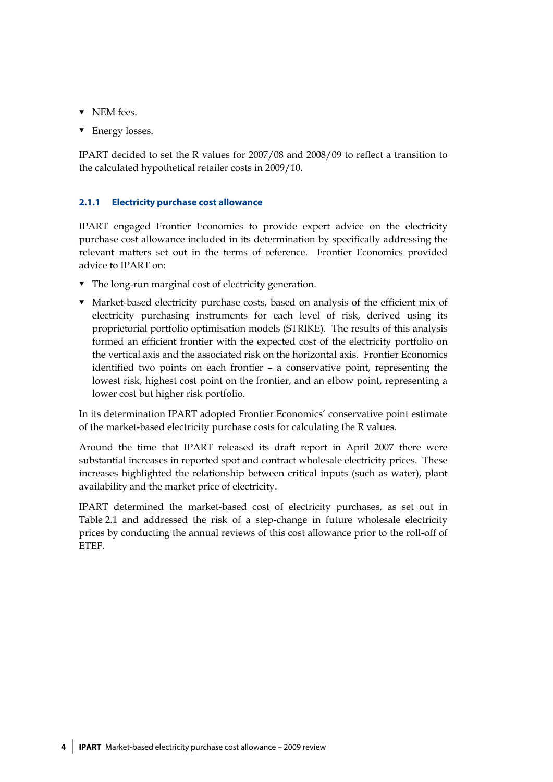- $\nabla$  NEM fees.
- **v** Energy losses.

IPART decided to set the R values for 2007/08 and 2008/09 to reflect a transition to the calculated hypothetical retailer costs in 2009/10.

### **2.1.1 Electricity purchase cost allowance**

IPART engaged Frontier Economics to provide expert advice on the electricity purchase cost allowance included in its determination by specifically addressing the relevant matters set out in the terms of reference. Frontier Economics provided advice to IPART on:

- The long-run marginal cost of electricity generation.
- Market-based electricity purchase costs, based on analysis of the efficient mix of electricity purchasing instruments for each level of risk, derived using its proprietorial portfolio optimisation models (STRIKE). The results of this analysis formed an efficient frontier with the expected cost of the electricity portfolio on the vertical axis and the associated risk on the horizontal axis. Frontier Economics identified two points on each frontier – a conservative point, representing the lowest risk, highest cost point on the frontier, and an elbow point, representing a lower cost but higher risk portfolio.

In its determination IPART adopted Frontier Economics' conservative point estimate of the market-based electricity purchase costs for calculating the R values.

Around the time that IPART released its draft report in April 2007 there were substantial increases in reported spot and contract wholesale electricity prices. These increases highlighted the relationship between critical inputs (such as water), plant availability and the market price of electricity.

IPART determined the market-based cost of electricity purchases, as set out in Table 2.1 and addressed the risk of a step-change in future wholesale electricity prices by conducting the annual reviews of this cost allowance prior to the roll-off of ETEF.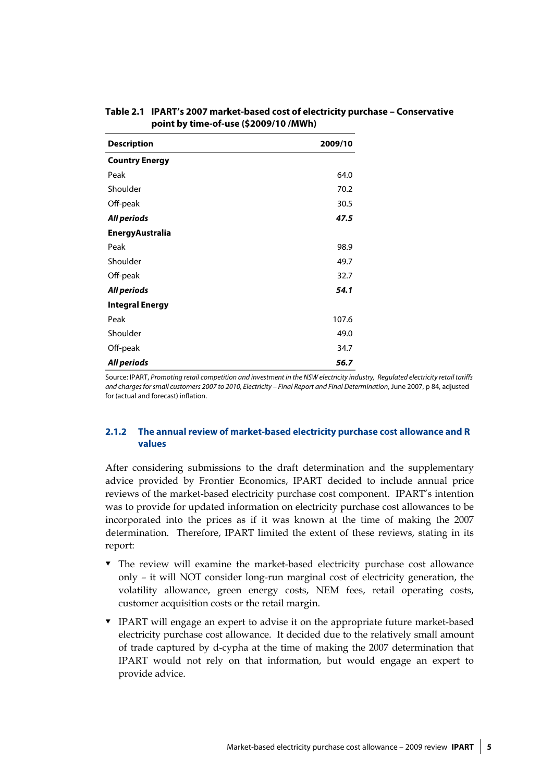| <b>Description</b>     | 2009/10 |
|------------------------|---------|
| <b>Country Energy</b>  |         |
| Peak                   | 64.0    |
| Shoulder               | 70.2    |
| Off-peak               | 30.5    |
| All periods            | 47.5    |
| <b>EnergyAustralia</b> |         |
| Peak                   | 98.9    |
| Shoulder               | 49.7    |
| Off-peak               | 32.7    |
| All periods            | 54.1    |
| <b>Integral Energy</b> |         |
| Peak                   | 107.6   |
| Shoulder               | 49.0    |
| Off-peak               | 34.7    |
| All periods            | 56.7    |

### **Table 2.1 IPART's 2007 market-based cost of electricity purchase – Conservative point by time-of-use (\$2009/10 /MWh)**

Source: IPART, Promoting retail competition and investment in the NSW electricity industry, Regulated electricity retail tariffs and charges for small customers 2007 to 2010, Electricity – Final Report and Final Determination, June 2007, p 84, adjusted for (actual and forecast) inflation.

### **2.1.2 The annual review of market-based electricity purchase cost allowance and R values**

After considering submissions to the draft determination and the supplementary advice provided by Frontier Economics, IPART decided to include annual price reviews of the market-based electricity purchase cost component. IPART's intention was to provide for updated information on electricity purchase cost allowances to be incorporated into the prices as if it was known at the time of making the 2007 determination. Therefore, IPART limited the extent of these reviews, stating in its report:

- The review will examine the market-based electricity purchase cost allowance only – it will NOT consider long-run marginal cost of electricity generation, the volatility allowance, green energy costs, NEM fees, retail operating costs, customer acquisition costs or the retail margin.
- IPART will engage an expert to advise it on the appropriate future market-based electricity purchase cost allowance. It decided due to the relatively small amount of trade captured by d-cypha at the time of making the 2007 determination that IPART would not rely on that information, but would engage an expert to provide advice.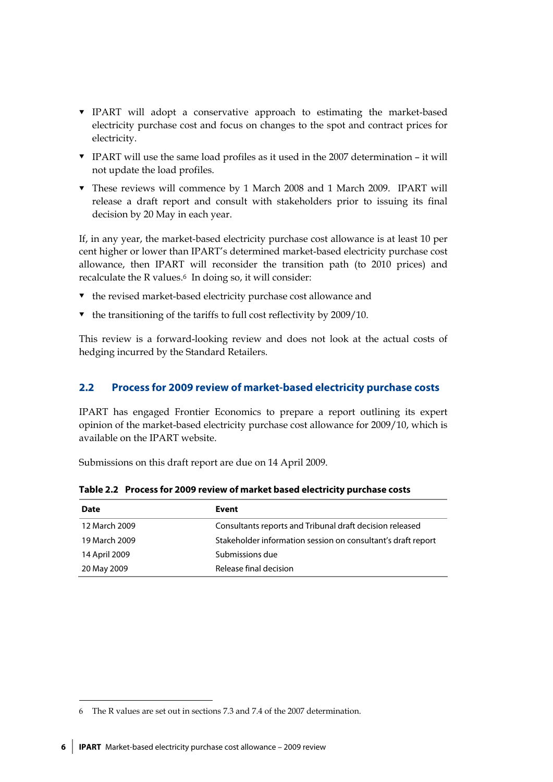- IPART will adopt a conservative approach to estimating the market-based electricity purchase cost and focus on changes to the spot and contract prices for electricity.
- IPART will use the same load profiles as it used in the 2007 determination it will not update the load profiles.
- These reviews will commence by 1 March 2008 and 1 March 2009. IPART will release a draft report and consult with stakeholders prior to issuing its final decision by 20 May in each year.

If, in any year, the market-based electricity purchase cost allowance is at least 10 per cent higher or lower than IPART's determined market-based electricity purchase cost allowance, then IPART will reconsider the transition path (to 2010 prices) and recalculate the R values.6 In doing so, it will consider:

- $\bullet$  the revised market-based electricity purchase cost allowance and
- $\bullet$  the transitioning of the tariffs to full cost reflectivity by 2009/10.

This review is a forward-looking review and does not look at the actual costs of hedging incurred by the Standard Retailers.

### **2.2 Process for 2009 review of market-based electricity purchase costs**

IPART has engaged Frontier Economics to prepare a report outlining its expert opinion of the market-based electricity purchase cost allowance for 2009/10, which is available on the IPART website.

Submissions on this draft report are due on 14 April 2009.

| Date          | Event                                                        |
|---------------|--------------------------------------------------------------|
| 12 March 2009 | Consultants reports and Tribunal draft decision released     |
| 19 March 2009 | Stakeholder information session on consultant's draft report |
| 14 April 2009 | Submissions due                                              |
| 20 May 2009   | Release final decision                                       |

**Table 2.2 Process for 2009 review of market based electricity purchase costs** 

<u>.</u>

<sup>6</sup> The R values are set out in sections 7.3 and 7.4 of the 2007 determination.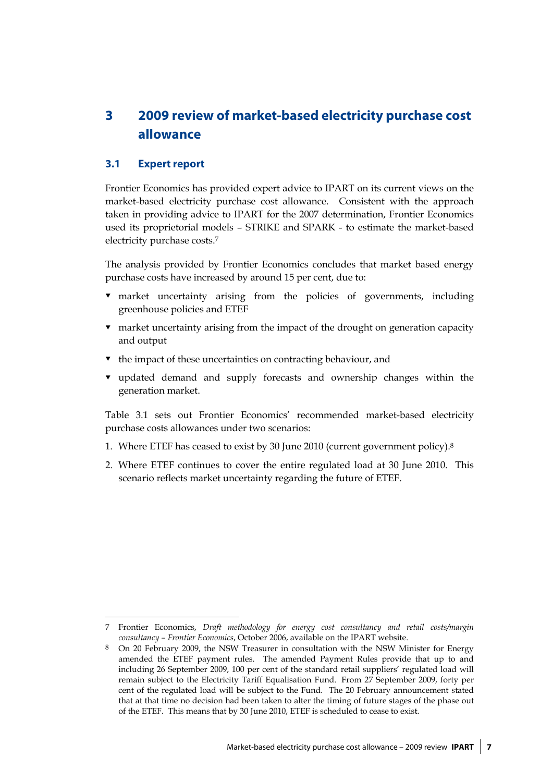# **3 2009 review of market-based electricity purchase cost allowance**

### **3.1 Expert report**

 $\overline{a}$ 

Frontier Economics has provided expert advice to IPART on its current views on the market-based electricity purchase cost allowance. Consistent with the approach taken in providing advice to IPART for the 2007 determination, Frontier Economics used its proprietorial models – STRIKE and SPARK - to estimate the market-based electricity purchase costs.7

The analysis provided by Frontier Economics concludes that market based energy purchase costs have increased by around 15 per cent, due to:

- market uncertainty arising from the policies of governments, including greenhouse policies and ETEF
- market uncertainty arising from the impact of the drought on generation capacity and output
- $\bullet$  the impact of these uncertainties on contracting behaviour, and
- updated demand and supply forecasts and ownership changes within the generation market.

Table 3.1 sets out Frontier Economics' recommended market-based electricity purchase costs allowances under two scenarios:

- 1. Where ETEF has ceased to exist by 30 June 2010 (current government policy).8
- 2. Where ETEF continues to cover the entire regulated load at 30 June 2010. This scenario reflects market uncertainty regarding the future of ETEF.

<sup>7</sup> Frontier Economics, *Draft methodology for energy cost consultancy and retail costs/margin consultancy – Frontier Economics*, October 2006, available on the IPART website.

<sup>8</sup> On 20 February 2009, the NSW Treasurer in consultation with the NSW Minister for Energy amended the ETEF payment rules. The amended Payment Rules provide that up to and including 26 September 2009, 100 per cent of the standard retail suppliers' regulated load will remain subject to the Electricity Tariff Equalisation Fund. From 27 September 2009, forty per cent of the regulated load will be subject to the Fund. The 20 February announcement stated that at that time no decision had been taken to alter the timing of future stages of the phase out of the ETEF. This means that by 30 June 2010, ETEF is scheduled to cease to exist.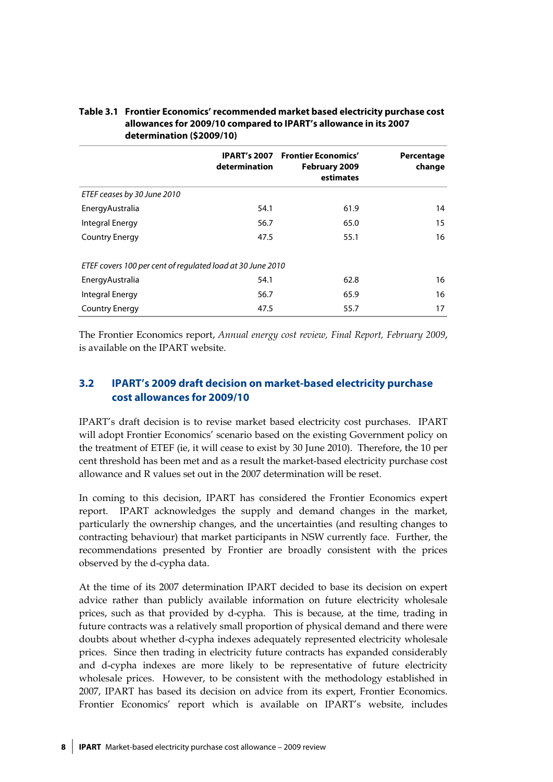| Table 3.1 Frontier Economics' recommended market based electricity purchase cost |
|----------------------------------------------------------------------------------|
| allowances for 2009/10 compared to IPART's allowance in its 2007                 |
| determination (\$2009/10)                                                        |

|                                                            | determination | <b>IPART's 2007 Frontier Economics'</b><br>February 2009<br>estimates | Percentage<br>change |
|------------------------------------------------------------|---------------|-----------------------------------------------------------------------|----------------------|
| ETEF ceases by 30 June 2010                                |               |                                                                       |                      |
| Energy Australia                                           | 54.1          | 61.9                                                                  | 14                   |
| Integral Energy                                            | 56.7          | 65.0                                                                  | 15                   |
| <b>Country Energy</b>                                      | 47.5          | 55.1                                                                  | 16                   |
| ETEF covers 100 per cent of regulated load at 30 June 2010 |               |                                                                       |                      |
| Energy Australia                                           | 54.1          | 62.8                                                                  | 16                   |
| Integral Energy                                            | 56.7          | 65.9                                                                  | 16                   |
| <b>Country Energy</b>                                      | 47.5          | 55.7                                                                  | 17                   |

The Frontier Economics report, *Annual energy cost review, Final Report, February 2009*, is available on the IPART website.

### **3.2 IPART's 2009 draft decision on market-based electricity purchase cost allowances for 2009/10**

IPART's draft decision is to revise market based electricity cost purchases. IPART will adopt Frontier Economics' scenario based on the existing Government policy on the treatment of ETEF (ie, it will cease to exist by 30 June 2010). Therefore, the 10 per cent threshold has been met and as a result the market-based electricity purchase cost allowance and R values set out in the 2007 determination will be reset.

In coming to this decision, IPART has considered the Frontier Economics expert report. IPART acknowledges the supply and demand changes in the market, particularly the ownership changes, and the uncertainties (and resulting changes to contracting behaviour) that market participants in NSW currently face. Further, the recommendations presented by Frontier are broadly consistent with the prices observed by the d-cypha data.

At the time of its 2007 determination IPART decided to base its decision on expert advice rather than publicly available information on future electricity wholesale prices, such as that provided by d-cypha. This is because, at the time, trading in future contracts was a relatively small proportion of physical demand and there were doubts about whether d-cypha indexes adequately represented electricity wholesale prices. Since then trading in electricity future contracts has expanded considerably and d-cypha indexes are more likely to be representative of future electricity wholesale prices. However, to be consistent with the methodology established in 2007, IPART has based its decision on advice from its expert, Frontier Economics. Frontier Economics' report which is available on IPART's website, includes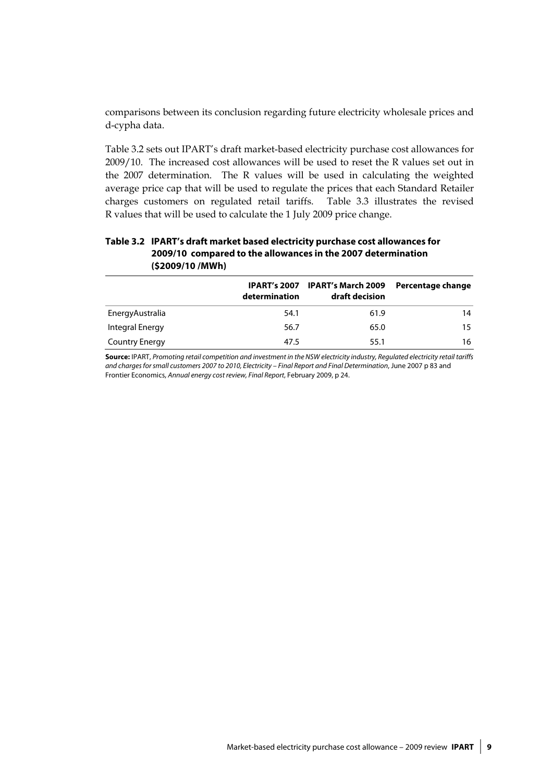comparisons between its conclusion regarding future electricity wholesale prices and d-cypha data.

Table 3.2 sets out IPART's draft market-based electricity purchase cost allowances for 2009/10. The increased cost allowances will be used to reset the R values set out in the 2007 determination. The R values will be used in calculating the weighted average price cap that will be used to regulate the prices that each Standard Retailer charges customers on regulated retail tariffs. Table 3.3 illustrates the revised R values that will be used to calculate the 1 July 2009 price change.

### **Table 3.2 IPART's draft market based electricity purchase cost allowances for 2009/10 compared to the allowances in the 2007 determination (\$2009/10 /MWh)**

|                       | determination | IPART's 2007 IPART's March 2009<br>draft decision | Percentage change |
|-----------------------|---------------|---------------------------------------------------|-------------------|
| Energy Australia      | 54.1          | 61.9                                              | 14                |
| Integral Energy       | 56.7          | 65.0                                              | 15.               |
| <b>Country Energy</b> | 47.5          | 55.1                                              | 16                |

**Source:** IPART, Promoting retail competition and investment in the NSW electricity industry, Regulated electricity retail tariffs and charges for small customers 2007 to 2010, Electricity – Final Report and Final Determination, June 2007 p 83 and Frontier Economics, Annual energy cost review, Final Report, February 2009, p 24.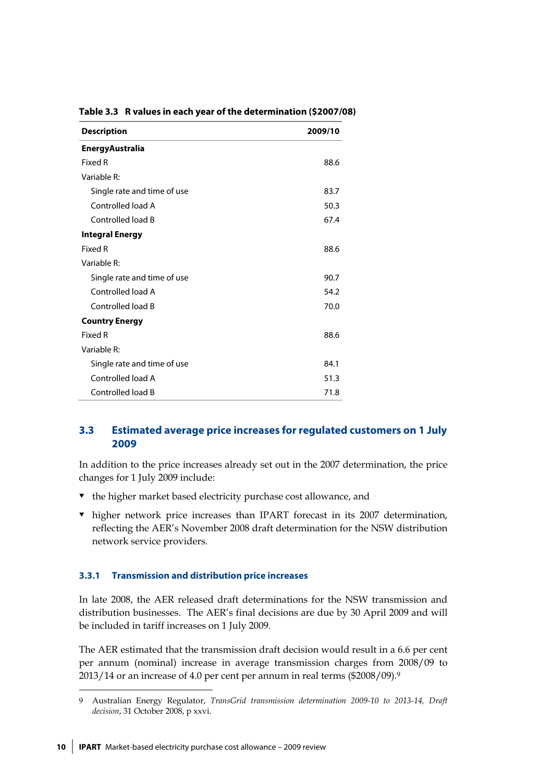| <b>Description</b>          | 2009/10 |
|-----------------------------|---------|
| <b>EnergyAustralia</b>      |         |
| Fixed R                     | 88.6    |
| Variable R:                 |         |
| Single rate and time of use | 83.7    |
| Controlled load A           | 50.3    |
| Controlled load B           | 67.4    |
| <b>Integral Energy</b>      |         |
| Fixed R                     | 88.6    |
| Variable R:                 |         |
| Single rate and time of use | 90.7    |
| Controlled load A           | 54.2    |
| Controlled load B           | 70.0    |
| <b>Country Energy</b>       |         |
| Fixed R                     | 88.6    |
| Variable R:                 |         |
| Single rate and time of use | 84.1    |
| Controlled load A           | 51.3    |
| Controlled load B           | 71.8    |

### **Table 3.3 R values in each year of the determination (\$2007/08)**

### **3.3 Estimated average price increases for regulated customers on 1 July 2009**

In addition to the price increases already set out in the 2007 determination, the price changes for 1 July 2009 include:

- $\bullet$  the higher market based electricity purchase cost allowance, and
- higher network price increases than IPART forecast in its 2007 determination, reflecting the AER's November 2008 draft determination for the NSW distribution network service providers.

### **3.3.1 Transmission and distribution price increases**

In late 2008, the AER released draft determinations for the NSW transmission and distribution businesses. The AER's final decisions are due by 30 April 2009 and will be included in tariff increases on 1 July 2009.

The AER estimated that the transmission draft decision would result in a 6.6 per cent per annum (nominal) increase in average transmission charges from 2008/09 to 2013/14 or an increase of 4.0 per cent per annum in real terms (\$2008/09).9

<u>.</u>

<sup>9</sup> Australian Energy Regulator, *TransGrid transmission determination 2009-10 to 2013-14, Draft decision*, 31 October 2008, p xxvi.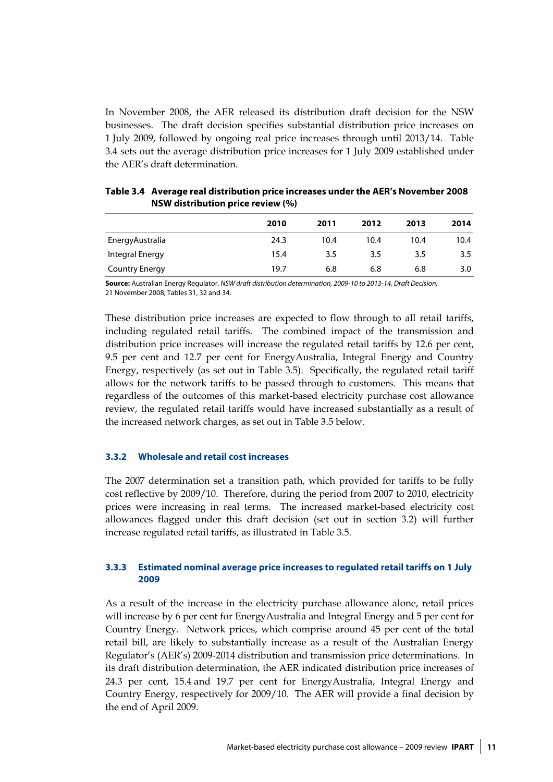In November 2008, the AER released its distribution draft decision for the NSW businesses. The draft decision specifies substantial distribution price increases on 1 July 2009, followed by ongoing real price increases through until 2013/14. Table 3.4 sets out the average distribution price increases for 1 July 2009 established under the AER's draft determination.

|                       | 2010 | 2011 | 2012 | 2013 | 2014 |
|-----------------------|------|------|------|------|------|
| EnergyAustralia       | 24.3 | 10.4 | 10.4 | 10.4 | 10.4 |
| Integral Energy       | 15.4 | 3.5  | 3.5  | 3.5  | 3.5  |
| <b>Country Energy</b> | 19.7 | 6.8  | 6.8  | 6.8  | 3.0  |

| Table 3.4 Average real distribution price increases under the AER's November 2008 |  |  |
|-----------------------------------------------------------------------------------|--|--|
| NSW distribution price review (%)                                                 |  |  |

**Source:** Australian Energy Regulator, NSW draft distribution determination, 2009-10 to 2013-14, Draft Decision, 21 November 2008, Tables 31, 32 and 34.

These distribution price increases are expected to flow through to all retail tariffs, including regulated retail tariffs. The combined impact of the transmission and distribution price increases will increase the regulated retail tariffs by 12.6 per cent, 9.5 per cent and 12.7 per cent for EnergyAustralia, Integral Energy and Country Energy, respectively (as set out in Table 3.5). Specifically, the regulated retail tariff allows for the network tariffs to be passed through to customers. This means that regardless of the outcomes of this market-based electricity purchase cost allowance review, the regulated retail tariffs would have increased substantially as a result of the increased network charges, as set out in Table 3.5 below.

### **3.3.2 Wholesale and retail cost increases**

The 2007 determination set a transition path, which provided for tariffs to be fully cost reflective by 2009/10. Therefore, during the period from 2007 to 2010, electricity prices were increasing in real terms. The increased market-based electricity cost allowances flagged under this draft decision (set out in section 3.2) will further increase regulated retail tariffs, as illustrated in Table 3.5.

### **3.3.3 Estimated nominal average price increases to regulated retail tariffs on 1 July 2009**

As a result of the increase in the electricity purchase allowance alone, retail prices will increase by 6 per cent for EnergyAustralia and Integral Energy and 5 per cent for Country Energy. Network prices, which comprise around 45 per cent of the total retail bill, are likely to substantially increase as a result of the Australian Energy Regulator's (AER's) 2009-2014 distribution and transmission price determinations. In its draft distribution determination, the AER indicated distribution price increases of 24.3 per cent, 15.4 and 19.7 per cent for EnergyAustralia, Integral Energy and Country Energy, respectively for 2009/10. The AER will provide a final decision by the end of April 2009.